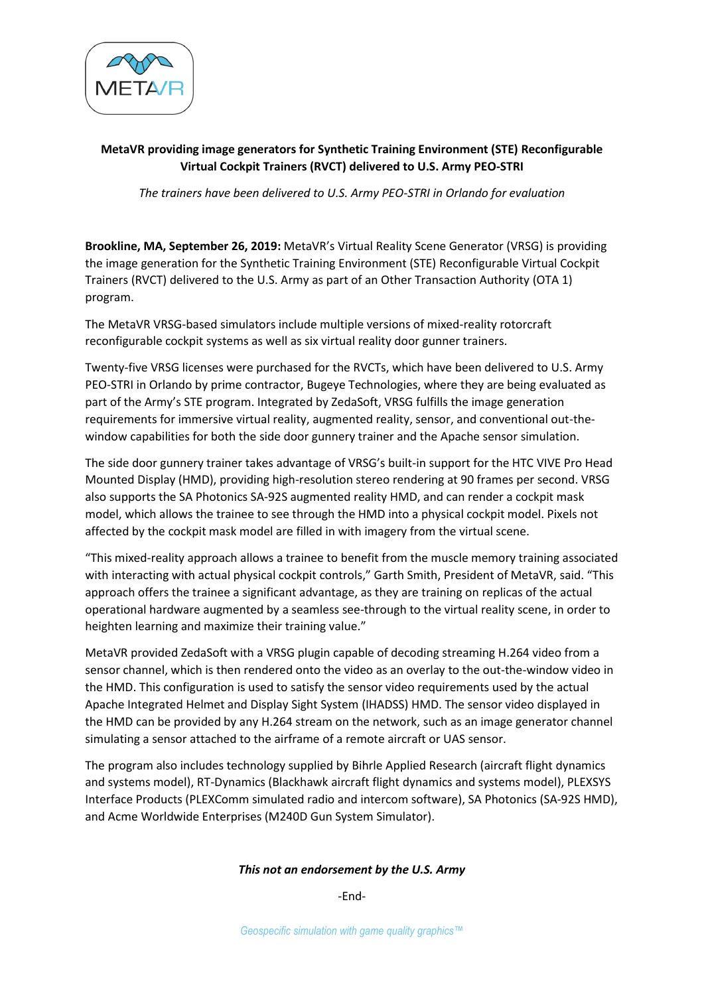

## **MetaVR providing image generators for Synthetic Training Environment (STE) Reconfigurable Virtual Cockpit Trainers (RVCT) delivered to U.S. Army PEO-STRI**

*The trainers have been delivered to U.S. Army PEO-STRI in Orlando for evaluation*

**Brookline, MA, September 26, 2019:** MetaVR's Virtual Reality Scene Generator (VRSG) is providing the image generation for the Synthetic Training Environment (STE) Reconfigurable Virtual Cockpit Trainers (RVCT) delivered to the U.S. Army as part of an Other Transaction Authority (OTA 1) program.

The MetaVR VRSG-based simulators include multiple versions of mixed-reality rotorcraft reconfigurable cockpit systems as well as six virtual reality door gunner trainers.

Twenty-five VRSG licenses were purchased for the RVCTs, which have been delivered to U.S. Army PEO-STRI in Orlando by prime contractor, Bugeye Technologies, where they are being evaluated as part of the Army's STE program. Integrated by ZedaSoft, VRSG fulfills the image generation requirements for immersive virtual reality, augmented reality, sensor, and conventional out-thewindow capabilities for both the side door gunnery trainer and the Apache sensor simulation.

The side door gunnery trainer takes advantage of VRSG's built-in support for the HTC VIVE Pro Head Mounted Display (HMD), providing high-resolution stereo rendering at 90 frames per second. VRSG also supports the SA Photonics SA-92S augmented reality HMD, and can render a cockpit mask model, which allows the trainee to see through the HMD into a physical cockpit model. Pixels not affected by the cockpit mask model are filled in with imagery from the virtual scene.

"This mixed-reality approach allows a trainee to benefit from the muscle memory training associated with interacting with actual physical cockpit controls," Garth Smith, President of MetaVR, said. "This approach offers the trainee a significant advantage, as they are training on replicas of the actual operational hardware augmented by a seamless see-through to the virtual reality scene, in order to heighten learning and maximize their training value."

MetaVR provided ZedaSoft with a VRSG plugin capable of decoding streaming H.264 video from a sensor channel, which is then rendered onto the video as an overlay to the out-the-window video in the HMD. This configuration is used to satisfy the sensor video requirements used by the actual Apache Integrated Helmet and Display Sight System (IHADSS) HMD. The sensor video displayed in the HMD can be provided by any H.264 stream on the network, such as an image generator channel simulating a sensor attached to the airframe of a remote aircraft or UAS sensor.

The program also includes technology supplied by Bihrle Applied Research (aircraft flight dynamics and systems model), RT-Dynamics (Blackhawk aircraft flight dynamics and systems model), PLEXSYS Interface Products (PLEXComm simulated radio and intercom software), SA Photonics (SA-92S HMD), and Acme Worldwide Enterprises (M240D Gun System Simulator).

## *This not an endorsement by the U.S. Army*

-End-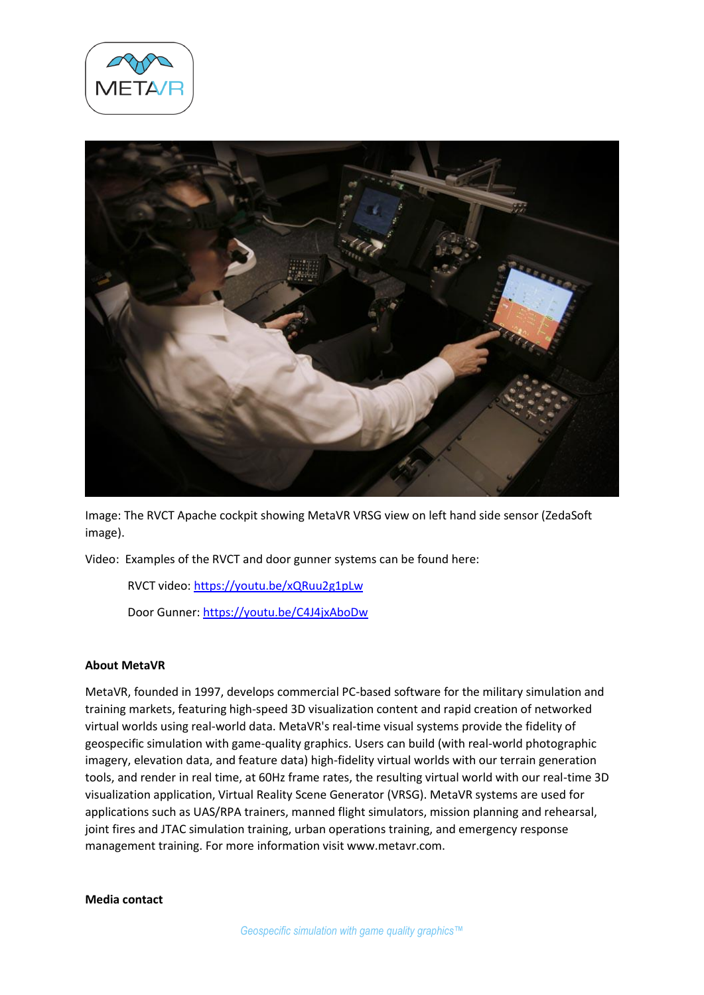



Image: The RVCT Apache cockpit showing MetaVR VRSG view on left hand side sensor (ZedaSoft image).

Video: Examples of the RVCT and door gunner systems can be found here:

RVCT video:<https://youtu.be/xQRuu2g1pLw>

Door Gunner: <https://youtu.be/C4J4jxAboDw>

## **About MetaVR**

MetaVR, founded in 1997, develops commercial PC-based software for the military simulation and training markets, featuring high-speed 3D visualization content and rapid creation of networked virtual worlds using real-world data. MetaVR's real-time visual systems provide the fidelity of geospecific simulation with game-quality graphics. Users can build (with real-world photographic imagery, elevation data, and feature data) high-fidelity virtual worlds with our terrain generation tools, and render in real time, at 60Hz frame rates, the resulting virtual world with our real-time 3D visualization application, Virtual Reality Scene Generator (VRSG). MetaVR systems are used for applications such as UAS/RPA trainers, manned flight simulators, mission planning and rehearsal, joint fires and JTAC simulation training, urban operations training, and emergency response management training. For more information visit www.metavr.com.

**Media contact**